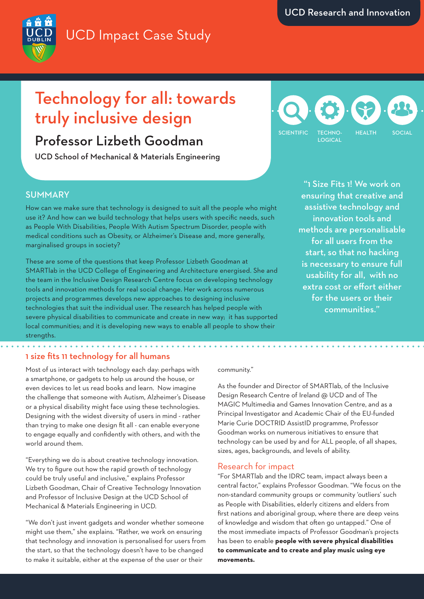# UCD Impact Case Study

# Technology for all: towards truly inclusive design

### Professor Lizbeth Goodman

UCD School of Mechanical & Materials Engineering

## TECHNO-**LOGICAL** SCIENTIFIC TECHNO- HEALTH SOCIAL

#### **SUMMARY**

How can we make sure that technology is designed to suit all the people who might use it? And how can we build technology that helps users with specific needs, such as People With Disabilities, People With Autism Spectrum Disorder, people with medical conditions such as Obesity, or Alzheimer's Disease and, more generally, marginalised groups in society?

These are some of the questions that keep Professor Lizbeth Goodman at SMARTlab in the UCD College of Engineering and Architecture energised. She and the team in the Inclusive Design Research Centre focus on developing technology tools and innovation methods for real social change. Her work across numerous projects and programmes develops new approaches to designing inclusive technologies that suit the individual user. The research has helped people with severe physical disabilities to communicate and create in new way; it has supported local communities; and it is developing new ways to enable all people to show their strengths.

"1 Size Fits 1! We work on ensuring that creative and assistive technology and innovation tools and methods are personalisable for all users from the start, so that no hacking is necessary to ensure full usability for all, with no extra cost or effort either for the users or their communities."

#### 1 size fits 11 technology for all humans

Most of us interact with technology each day: perhaps with a smartphone, or gadgets to help us around the house, or even devices to let us read books and learn. Now imagine the challenge that someone with Autism, Alzheimer's Disease or a physical disability might face using these technologies. Designing with the widest diversity of users in mind - rather than trying to make one design fit all - can enable everyone to engage equally and confidently with others, and with the world around them.

"Everything we do is about creative technology innovation. We try to figure out how the rapid growth of technology could be truly useful and inclusive," explains Professor Lizbeth Goodman, Chair of Creative Technology Innovation and Professor of Inclusive Design at the UCD School of Mechanical & Materials Engineering in UCD.

"We don't just invent gadgets and wonder whether someone might use them," she explains. "Rather, we work on ensuring that technology and innovation is personalised for users from the start, so that the technology doesn't have to be changed to make it suitable, either at the expense of the user or their

#### community."

As the founder and Director of SMARTlab, of the Inclusive Design Research Centre of Ireland @ UCD and of The MAGIC Multimedia and Games Innovation Centre, and as a Principal Investigator and Academic Chair of the EU-funded Marie Curie DOCTRID AssistID programme, Professor Goodman works on numerous initiatives to ensure that technology can be used by and for ALL people, of all shapes, sizes, ages, backgrounds, and levels of ability.

#### Research for impact

"For SMARTlab and the IDRC team, impact always been a central factor," explains Professor Goodman. "We focus on the non-standard community groups or community 'outliers' such as People with Disabilities, elderly citizens and elders from first nations and aboriginal group, where there are deep veins of knowledge and wisdom that often go untapped." One of the most immediate impacts of Professor Goodman's projects has been to enable **people with severe physical disabilities to communicate and to create and play music using eye movements.**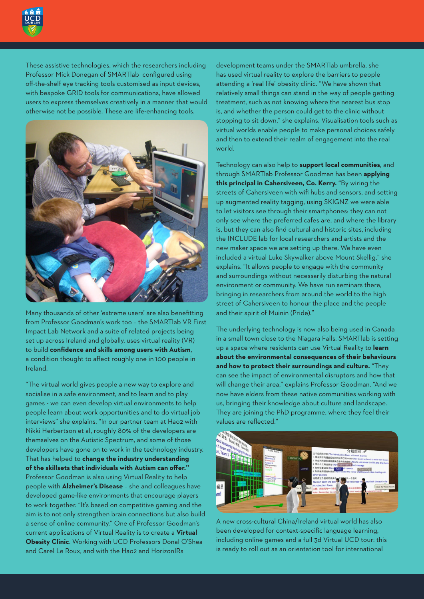

These assistive technologies, which the researchers including Professor Mick Donegan of SMARTlab configured using off-the-shelf eye tracking tools customised as input devices, with bespoke GRID tools for communications, have allowed users to express themselves creatively in a manner that would otherwise not be possible. These are life-enhancing tools.



Many thousands of other 'extreme users' are also benefitting from Professor Goodman's work too – the SMARTlab VR First Impact Lab Network and a suite of related projects being set up across Ireland and globally, uses virtual reality (VR) to build **confidence and skills among users with Autism**, a condition thought to affect roughly one in 100 people in Ireland.

"The virtual world gives people a new way to explore and socialise in a safe environment, and to learn and to play games - we can even develop virtual environments to help people learn about work opportunities and to do virtual job interviews" she explains. "In our partner team at Hao2 with Nikki Herbertson et al, roughly 80% of the developers are themselves on the Autistic Spectrum, and some of those developers have gone on to work in the technology industry. That has helped to **change the industry understanding of the skillsets that individuals with Autism can offer."** Professor Goodman is also using Virtual Reality to help people with **Alzheimer's Disease** – she and colleagues have developed game-like environments that encourage players to work together. "It's based on competitive gaming and the aim is to not only strengthen brain connections but also build a sense of online community." One of Professor Goodman's current applications of Virtual Reality is to create a **Virtual Obesity Clinic**. Working with UCD Professors Donal O'Shea and Carel Le Roux, and with the Hao2 and HorizonIRs

development teams under the SMARTlab umbrella, she has used virtual reality to explore the barriers to people attending a 'real life' obesity clinic. "We have shown that relatively small things can stand in the way of people getting treatment, such as not knowing where the nearest bus stop is, and whether the person could get to the clinic without stopping to sit down," she explains. Visualisation tools such as virtual worlds enable people to make personal choices safely and then to extend their realm of engagement into the real world.

Technology can also help to **support local communities**, and through SMARTlab Professor Goodman has been **applying this principal in Cahersiveen, Co. Kerry.** "By wiring the streets of Cahersiveen with wifi hubs and sensors, and setting up augmented reality tagging, using SKIGNZ we were able to let visitors see through their smartphones: they can not only see where the preferred cafes are, and where the library is, but they can also find cultural and historic sites, including the INCLUDE lab for local researchers and artists and the new maker space we are setting up there. We have even included a virtual Luke Skywalker above Mount Skellig," she explains. "It allows people to engage with the community and surroundings without necessarily disturbing the natural environment or community. We have run seminars there, bringing in researchers from around the world to the high street of Cahersiveen to honour the place and the people and their spirit of Muinin (Pride)."

The underlying technology is now also being used in Canada in a small town close to the Niagara Falls. SMARTlab is setting up a space where residents can use Virtual Reality to **learn about the environmental consequences of their behaviours and how to protect their surroundings and culture.** "They can see the impact of environmental disruptors and how that will change their area," explains Professor Goodman. "And we now have elders from these native communities working with us, bringing their knowledge about culture and landscape. They are joining the PhD programme, where they feel their values are reflected."



A new cross-cultural China/Ireland virtual world has also been developed for context-specific language learning, including online games and a full 3d Virtual UCD tour: this is ready to roll out as an orientation tool for international